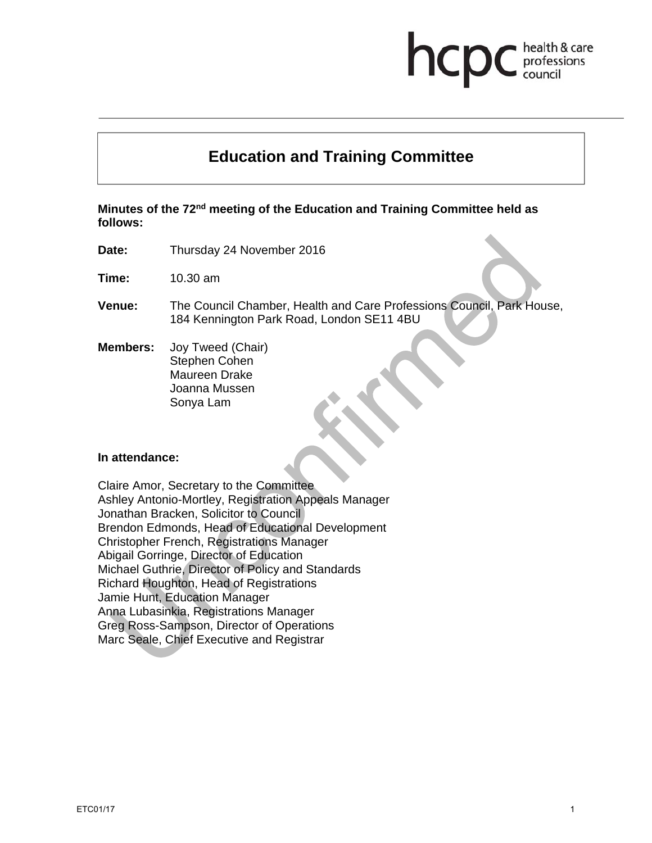# **Education and Training Committee**

**Minutes of the 72nd meeting of the Education and Training Committee held as follows:** 

**Date:** Thursday 24 November 2016

**Time:** 10.30 am

- **Venue:** The Council Chamber, Health and Care Professions Council, Park House, 184 Kennington Park Road, London SE11 4BU
- **Members:** Joy Tweed (Chair) Stephen Cohen Maureen Drake Joanna Mussen Sonya Lam

#### **In attendance:**

Claire Amor, Secretary to the Committee Ashley Antonio-Mortley, Registration Appeals Manager Jonathan Bracken, Solicitor to Council Brendon Edmonds, Head of Educational Development Christopher French, Registrations Manager Abigail Gorringe, Director of Education Michael Guthrie, Director of Policy and Standards Richard Houghton, Head of Registrations Jamie Hunt, Education Manager Anna Lubasinkia, Registrations Manager Greg Ross-Sampson, Director of Operations Marc Seale, Chief Executive and Registrar

health & care professions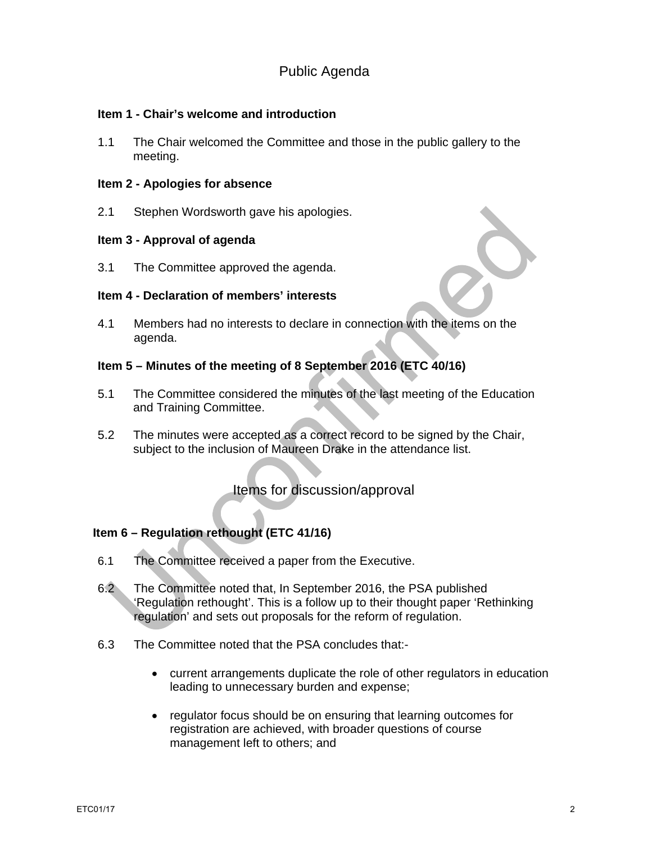# Public Agenda

## **Item 1 - Chair's welcome and introduction**

1.1 The Chair welcomed the Committee and those in the public gallery to the meeting.

#### **Item 2 - Apologies for absence**

2.1 Stephen Wordsworth gave his apologies.

#### **Item 3 - Approval of agenda**

3.1 The Committee approved the agenda.

#### **Item 4 - Declaration of members' interests**

4.1 Members had no interests to declare in connection with the items on the agenda.

## **Item 5 – Minutes of the meeting of 8 September 2016 (ETC 40/16)**

- 5.1 The Committee considered the minutes of the last meeting of the Education and Training Committee.
- 5.2 The minutes were accepted as a correct record to be signed by the Chair, subject to the inclusion of Maureen Drake in the attendance list.

Items for discussion/approval

## **Item 6 – Regulation rethought (ETC 41/16)**

- 6.1 The Committee received a paper from the Executive.
- 6.2 The Committee noted that, In September 2016, the PSA published 'Regulation rethought'. This is a follow up to their thought paper 'Rethinking regulation' and sets out proposals for the reform of regulation.
- 6.3 The Committee noted that the PSA concludes that:
	- current arrangements duplicate the role of other regulators in education leading to unnecessary burden and expense;
	- regulator focus should be on ensuring that learning outcomes for registration are achieved, with broader questions of course management left to others; and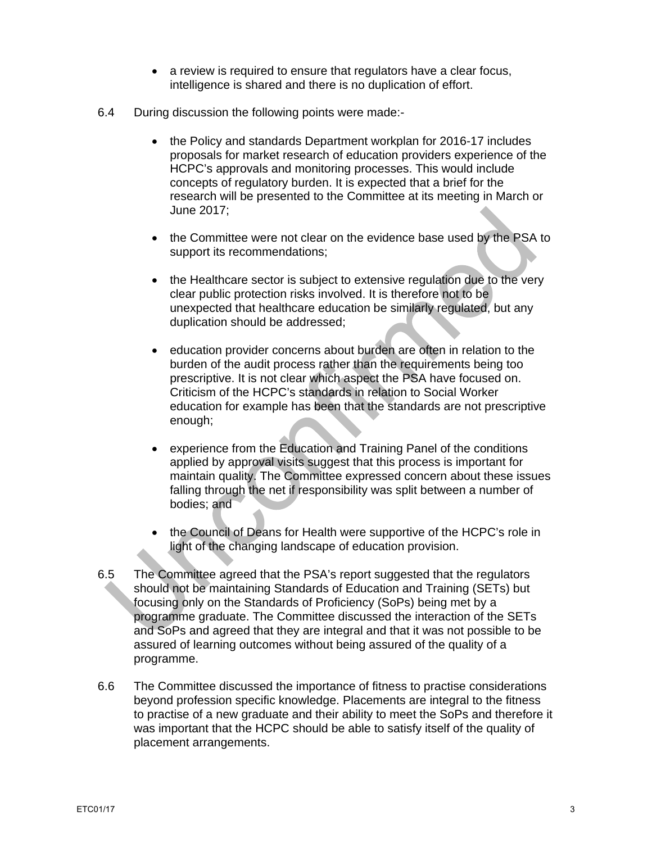- a review is required to ensure that regulators have a clear focus, intelligence is shared and there is no duplication of effort.
- 6.4 During discussion the following points were made:-
	- the Policy and standards Department workplan for 2016-17 includes proposals for market research of education providers experience of the HCPC's approvals and monitoring processes. This would include concepts of regulatory burden. It is expected that a brief for the research will be presented to the Committee at its meeting in March or June 2017;
	- the Committee were not clear on the evidence base used by the PSA to support its recommendations;
	- the Healthcare sector is subject to extensive regulation due to the very clear public protection risks involved. It is therefore not to be unexpected that healthcare education be similarly regulated, but any duplication should be addressed;
	- education provider concerns about burden are often in relation to the burden of the audit process rather than the requirements being too prescriptive. It is not clear which aspect the PSA have focused on. Criticism of the HCPC's standards in relation to Social Worker education for example has been that the standards are not prescriptive enough;
	- experience from the Education and Training Panel of the conditions applied by approval visits suggest that this process is important for maintain quality. The Committee expressed concern about these issues falling through the net if responsibility was split between a number of bodies; and
	- the Council of Deans for Health were supportive of the HCPC's role in light of the changing landscape of education provision.
- 6.5 The Committee agreed that the PSA's report suggested that the regulators should not be maintaining Standards of Education and Training (SETs) but focusing only on the Standards of Proficiency (SoPs) being met by a programme graduate. The Committee discussed the interaction of the SETs and SoPs and agreed that they are integral and that it was not possible to be assured of learning outcomes without being assured of the quality of a programme.
- 6.6 The Committee discussed the importance of fitness to practise considerations beyond profession specific knowledge. Placements are integral to the fitness to practise of a new graduate and their ability to meet the SoPs and therefore it was important that the HCPC should be able to satisfy itself of the quality of placement arrangements.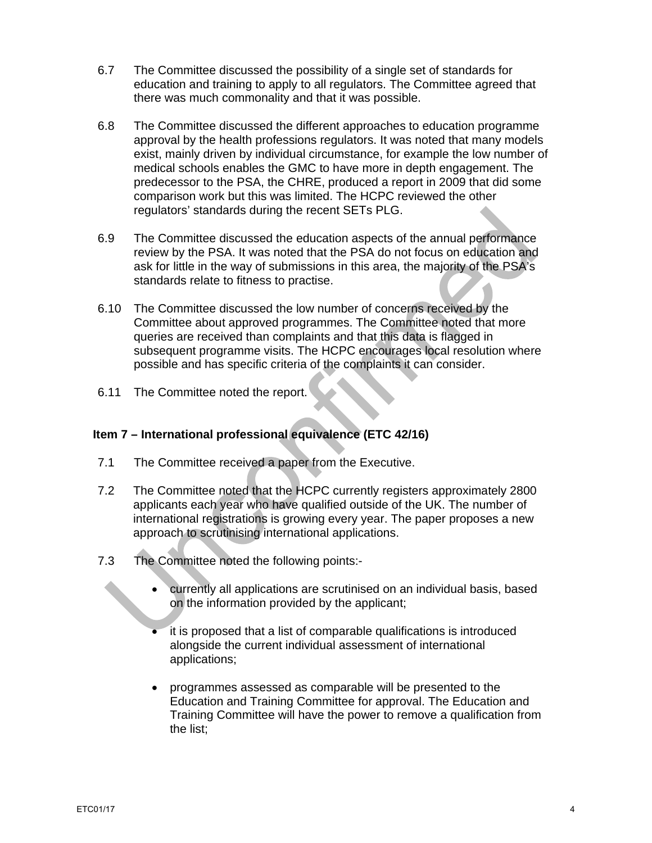- 6.7 The Committee discussed the possibility of a single set of standards for education and training to apply to all regulators. The Committee agreed that there was much commonality and that it was possible.
- 6.8 The Committee discussed the different approaches to education programme approval by the health professions regulators. It was noted that many models exist, mainly driven by individual circumstance, for example the low number of medical schools enables the GMC to have more in depth engagement. The predecessor to the PSA, the CHRE, produced a report in 2009 that did some comparison work but this was limited. The HCPC reviewed the other regulators' standards during the recent SETs PLG.
- 6.9 The Committee discussed the education aspects of the annual performance review by the PSA. It was noted that the PSA do not focus on education and ask for little in the way of submissions in this area, the majority of the PSA's standards relate to fitness to practise.
- 6.10 The Committee discussed the low number of concerns received by the Committee about approved programmes. The Committee noted that more queries are received than complaints and that this data is flagged in subsequent programme visits. The HCPC encourages local resolution where possible and has specific criteria of the complaints it can consider.
- 6.11 The Committee noted the report.

# **Item 7 – International professional equivalence (ETC 42/16)**

- 7.1 The Committee received a paper from the Executive.
- 7.2 The Committee noted that the HCPC currently registers approximately 2800 applicants each year who have qualified outside of the UK. The number of international registrations is growing every year. The paper proposes a new approach to scrutinising international applications.
- 7.3 The Committee noted the following points:
	- currently all applications are scrutinised on an individual basis, based on the information provided by the applicant;
	- it is proposed that a list of comparable qualifications is introduced alongside the current individual assessment of international applications;
	- programmes assessed as comparable will be presented to the Education and Training Committee for approval. The Education and Training Committee will have the power to remove a qualification from the list;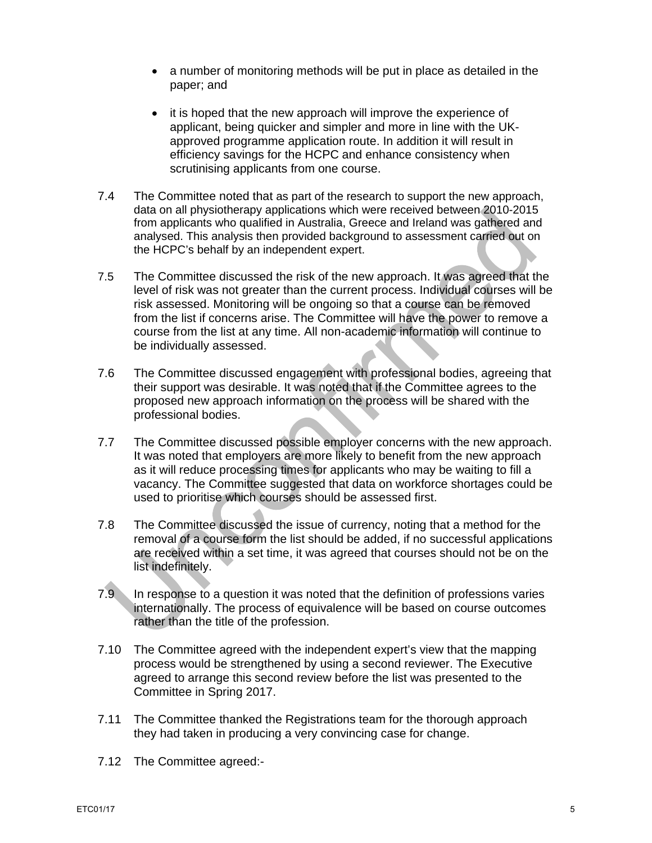- a number of monitoring methods will be put in place as detailed in the paper; and
- it is hoped that the new approach will improve the experience of applicant, being quicker and simpler and more in line with the UKapproved programme application route. In addition it will result in efficiency savings for the HCPC and enhance consistency when scrutinising applicants from one course.
- 7.4 The Committee noted that as part of the research to support the new approach, data on all physiotherapy applications which were received between 2010-2015 from applicants who qualified in Australia, Greece and Ireland was gathered and analysed. This analysis then provided background to assessment carried out on the HCPC's behalf by an independent expert.
- 7.5 The Committee discussed the risk of the new approach. It was agreed that the level of risk was not greater than the current process. Individual courses will be risk assessed. Monitoring will be ongoing so that a course can be removed from the list if concerns arise. The Committee will have the power to remove a course from the list at any time. All non-academic information will continue to be individually assessed.
- 7.6 The Committee discussed engagement with professional bodies, agreeing that their support was desirable. It was noted that if the Committee agrees to the proposed new approach information on the process will be shared with the professional bodies.
- 7.7 The Committee discussed possible employer concerns with the new approach. It was noted that employers are more likely to benefit from the new approach as it will reduce processing times for applicants who may be waiting to fill a vacancy. The Committee suggested that data on workforce shortages could be used to prioritise which courses should be assessed first.
- 7.8 The Committee discussed the issue of currency, noting that a method for the removal of a course form the list should be added, if no successful applications are received within a set time, it was agreed that courses should not be on the list indefinitely.
- 7.9 In response to a question it was noted that the definition of professions varies internationally. The process of equivalence will be based on course outcomes rather than the title of the profession.
- 7.10 The Committee agreed with the independent expert's view that the mapping process would be strengthened by using a second reviewer. The Executive agreed to arrange this second review before the list was presented to the Committee in Spring 2017.
- 7.11 The Committee thanked the Registrations team for the thorough approach they had taken in producing a very convincing case for change.
- 7.12 The Committee agreed:-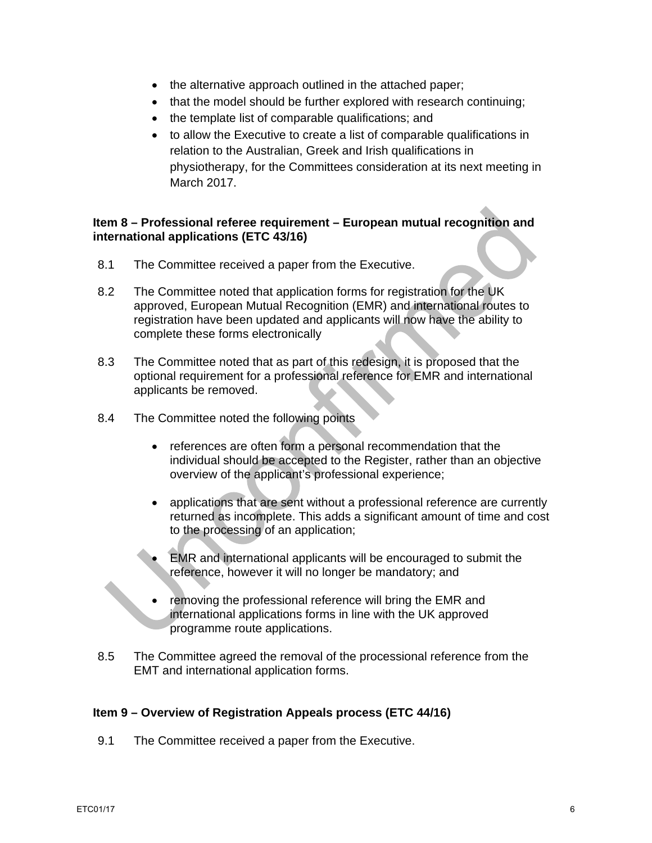- the alternative approach outlined in the attached paper;
- that the model should be further explored with research continuing:
- the template list of comparable qualifications; and
- to allow the Executive to create a list of comparable qualifications in relation to the Australian, Greek and Irish qualifications in physiotherapy, for the Committees consideration at its next meeting in March 2017.

# **Item 8 – Professional referee requirement – European mutual recognition and international applications (ETC 43/16)**

- 8.1 The Committee received a paper from the Executive.
- 8.2 The Committee noted that application forms for registration for the UK approved, European Mutual Recognition (EMR) and international routes to registration have been updated and applicants will now have the ability to complete these forms electronically
- 8.3 The Committee noted that as part of this redesign, it is proposed that the optional requirement for a professional reference for EMR and international applicants be removed.
- 8.4 The Committee noted the following points
	- references are often form a personal recommendation that the individual should be accepted to the Register, rather than an objective overview of the applicant's professional experience;
	- applications that are sent without a professional reference are currently returned as incomplete. This adds a significant amount of time and cost to the processing of an application;
	- EMR and international applicants will be encouraged to submit the reference, however it will no longer be mandatory; and
	- removing the professional reference will bring the EMR and international applications forms in line with the UK approved programme route applications.
- 8.5 The Committee agreed the removal of the processional reference from the EMT and international application forms.

## **Item 9 – Overview of Registration Appeals process (ETC 44/16)**

9.1 The Committee received a paper from the Executive.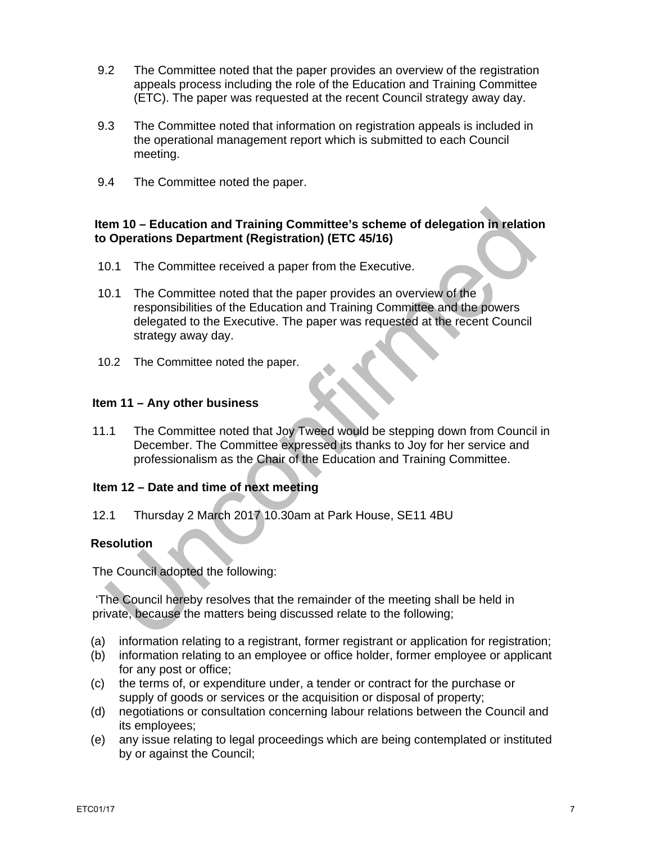- 9.2 The Committee noted that the paper provides an overview of the registration appeals process including the role of the Education and Training Committee (ETC). The paper was requested at the recent Council strategy away day.
- 9.3 The Committee noted that information on registration appeals is included in the operational management report which is submitted to each Council meeting.
- 9.4 The Committee noted the paper.

#### **Item 10 – Education and Training Committee's scheme of delegation in relation to Operations Department (Registration) (ETC 45/16)**

- 10.1 The Committee received a paper from the Executive.
- 10.1 The Committee noted that the paper provides an overview of the responsibilities of the Education and Training Committee and the powers delegated to the Executive. The paper was requested at the recent Council strategy away day.
- 10.2 The Committee noted the paper.

#### **Item 11 – Any other business**

11.1 The Committee noted that Joy Tweed would be stepping down from Council in December. The Committee expressed its thanks to Joy for her service and professionalism as the Chair of the Education and Training Committee.

## **Item 12 – Date and time of next meeting**

12.1 Thursday 2 March 2017 10.30am at Park House, SE11 4BU

## **Resolution**

The Council adopted the following:

 'The Council hereby resolves that the remainder of the meeting shall be held in private, because the matters being discussed relate to the following;

- (a) information relating to a registrant, former registrant or application for registration;
- (b) information relating to an employee or office holder, former employee or applicant for any post or office;
- (c) the terms of, or expenditure under, a tender or contract for the purchase or supply of goods or services or the acquisition or disposal of property;
- (d) negotiations or consultation concerning labour relations between the Council and its employees;
- (e) any issue relating to legal proceedings which are being contemplated or instituted by or against the Council;